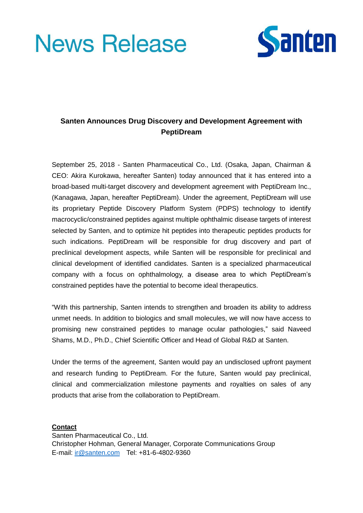# **News Release**



# **Santen Announces Drug Discovery and Development Agreement with PeptiDream**

September 25, 2018 - Santen Pharmaceutical Co., Ltd. (Osaka, Japan, Chairman & CEO: Akira Kurokawa, hereafter Santen) today announced that it has entered into a broad-based multi-target discovery and development agreement with PeptiDream Inc., (Kanagawa, Japan, hereafter PeptiDream). Under the agreement, PeptiDream will use its proprietary Peptide Discovery Platform System (PDPS) technology to identify macrocyclic/constrained peptides against multiple ophthalmic disease targets of interest selected by Santen, and to optimize hit peptides into therapeutic peptides products for such indications. PeptiDream will be responsible for drug discovery and part of preclinical development aspects, while Santen will be responsible for preclinical and clinical development of identified candidates. Santen is a specialized pharmaceutical company with a focus on ophthalmology, a disease area to which PeptiDream's constrained peptides have the potential to become ideal therapeutics.

"With this partnership, Santen intends to strengthen and broaden its ability to address unmet needs. In addition to biologics and small molecules, we will now have access to promising new constrained peptides to manage ocular pathologies," said Naveed Shams, M.D., Ph.D., Chief Scientific Officer and Head of Global R&D at Santen.

Under the terms of the agreement, Santen would pay an undisclosed upfront payment and research funding to PeptiDream. For the future, Santen would pay preclinical, clinical and commercialization milestone payments and royalties on sales of any products that arise from the collaboration to PeptiDream.

#### **Contact**

Santen Pharmaceutical Co., Ltd. Christopher Hohman, General Manager, Corporate Communications Group E-mail: [ir@santen.com](mailto:ir@santen.com) Tel: +81-6-4802-9360